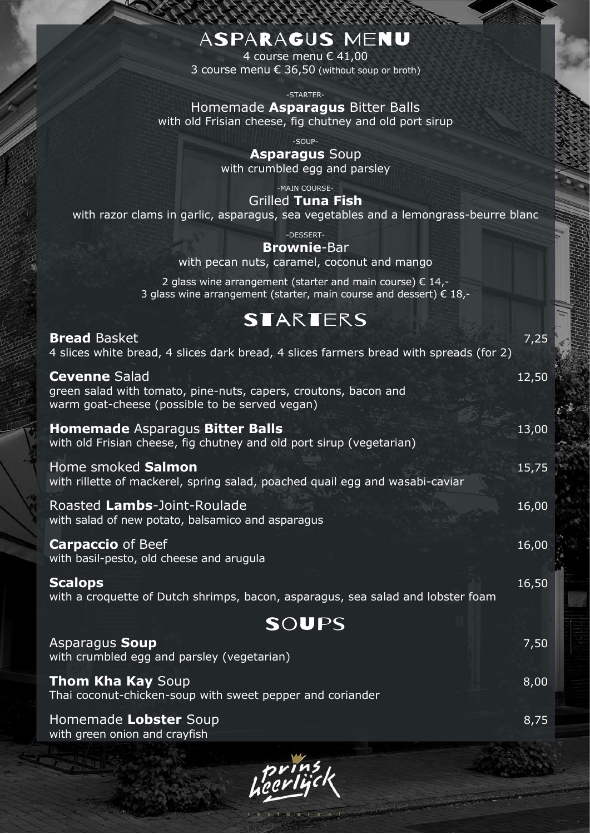### ASPARAGUS MENU

4 course menu € 41,00 3 course menu € 36,50 (without soup or broth)

-STARTER-

Homemade **Asparagus** Bitter Balls with old Frisian cheese, fig chutney and old port sirup

-SOUP-

**Asparagus** Soup with crumbled egg and parsley

-MAIN COURSE-

Grilled **Tuna Fish** with razor clams in garlic, asparagus, sea vegetables and a lemongrass-beurre blanc

-DESSERT-

**Brownie**-Bar

with pecan nuts, caramel, coconut and mango

2 glass wine arrangement (starter and main course)  $\epsilon$  14,-3 glass wine arrangement (starter, main course and dessert)  $\epsilon$  18,-

### **STARTERS**

| <b>Bread Basket</b><br>4 slices white bread, 4 slices dark bread, 4 slices farmers bread with spreads (for 2)                             | 7,25  |
|-------------------------------------------------------------------------------------------------------------------------------------------|-------|
| <b>Cevenne Salad</b><br>green salad with tomato, pine-nuts, capers, croutons, bacon and<br>warm goat-cheese (possible to be served vegan) | 12,50 |
| <b>Homemade Asparagus Bitter Balls</b><br>with old Frisian cheese, fig chutney and old port sirup (vegetarian)                            | 13,00 |
| Home smoked Salmon<br>with rillette of mackerel, spring salad, poached quail egg and wasabi-caviar                                        | 15,75 |
| Roasted Lambs-Joint-Roulade<br>with salad of new potato, balsamico and asparagus                                                          | 16,00 |
| <b>Carpaccio</b> of Beef<br>with basil-pesto, old cheese and arugula                                                                      | 16,00 |
| <b>Scalops</b><br>with a croquette of Dutch shrimps, bacon, asparagus, sea salad and lobster foam                                         | 16,50 |
| SOUPS                                                                                                                                     |       |
| Asparagus Soup<br>with crumbled egg and parsley (vegetarian)                                                                              | 7,50  |
| <b>Thom Kha Kay Soup</b><br>Thai coconut-chicken-soup with sweet pepper and coriander                                                     | 8,00  |
| Homemade Lobster Soup                                                                                                                     | 8,75  |

with green onion and crayfish

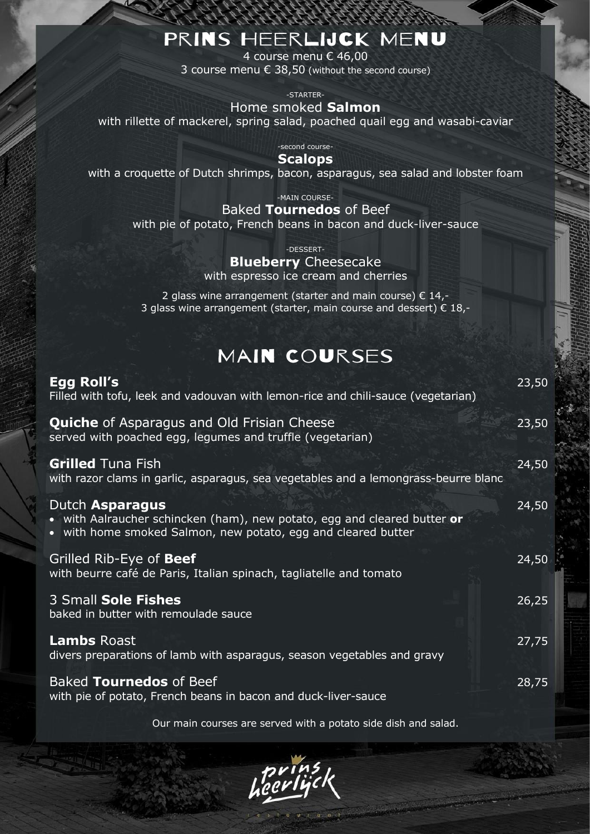### PRINS HEERLIJCK MENU

4 course menu € 46,00 3 course menu € 38,50 (without the second course)

-STARTER-

Home smoked **Salmon**

with rillette of mackerel, spring salad, poached quail egg and wasabi-caviar

-second course-

#### **Scalops**

with a croquette of Dutch shrimps, bacon, asparagus, sea salad and lobster foam

-MAIN COURSE-

Baked **Tournedos** of Beef with pie of potato, French beans in bacon and duck-liver-sauce

-DESSERT-

#### **Blueberry** Cheesecake

with espresso ice cream and cherries

2 glass wine arrangement (starter and main course)  $\epsilon$  14,-3 glass wine arrangement (starter, main course and dessert)  $\epsilon$  18,-

### MAIN COURSES

| Egg Roll's<br>Filled with tofu, leek and vadouvan with lemon-rice and chili-sauce (vegetarian)                                                                      | 23,50 |
|---------------------------------------------------------------------------------------------------------------------------------------------------------------------|-------|
| <b>Quiche</b> of Asparagus and Old Frisian Cheese<br>served with poached egg, legumes and truffle (vegetarian)                                                      | 23,50 |
| <b>Grilled Tuna Fish</b><br>with razor clams in garlic, asparagus, sea vegetables and a lemongrass-beurre blanc                                                     | 24,50 |
| Dutch <b>Asparagus</b><br>• with Aalraucher schincken (ham), new potato, egg and cleared butter or<br>• with home smoked Salmon, new potato, egg and cleared butter | 24,50 |
| Grilled Rib-Eye of <b>Beef</b><br>with beurre café de Paris, Italian spinach, tagliatelle and tomato                                                                | 24,50 |
| 3 Small Sole Fishes<br>baked in butter with remoulade sauce                                                                                                         | 26,25 |
| <b>Lambs Roast</b><br>divers preparations of lamb with asparagus, season vegetables and gravy                                                                       | 27,75 |
| Baked Tournedos of Beef<br>with pie of potato, French beans in bacon and duck-liver-sauce                                                                           | 28,75 |

Our main courses are served with a potato side dish and salad.